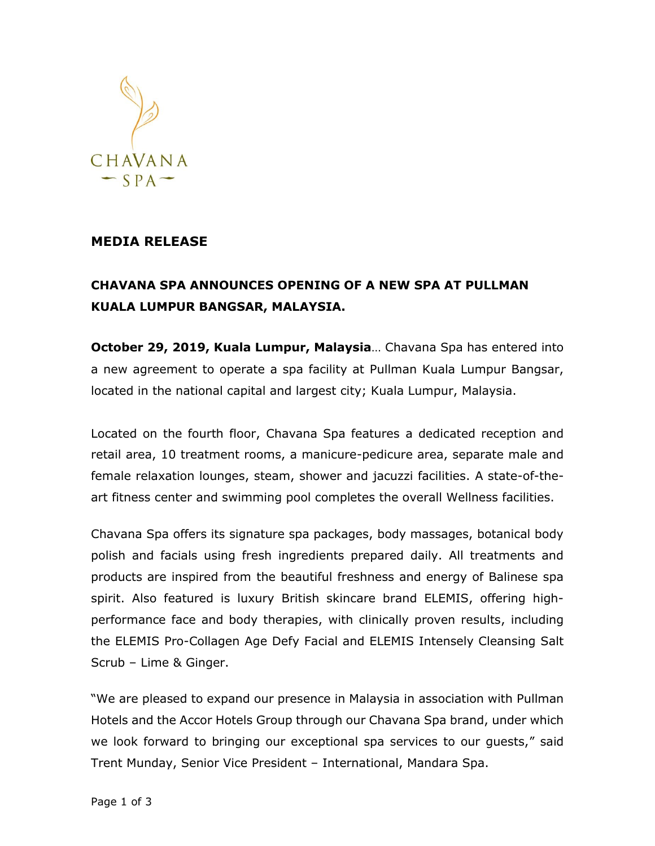

## **MEDIA RELEASE**

## **CHAVANA SPA ANNOUNCES OPENING OF A NEW SPA AT PULLMAN KUALA LUMPUR BANGSAR, MALAYSIA.**

**October 29, 2019, Kuala Lumpur, Malaysia**… Chavana Spa has entered into a new agreement to operate a spa facility at Pullman Kuala Lumpur Bangsar, located in the national capital and largest city; Kuala Lumpur, Malaysia.

Located on the fourth floor, Chavana Spa features a dedicated reception and retail area, 10 treatment rooms, a manicure-pedicure area, separate male and female relaxation lounges, steam, shower and jacuzzi facilities. A state-of-theart fitness center and swimming pool completes the overall Wellness facilities.

Chavana Spa offers its signature spa packages, body massages, botanical body polish and facials using fresh ingredients prepared daily. All treatments and products are inspired from the beautiful freshness and energy of Balinese spa spirit. Also featured is luxury British skincare brand ELEMIS, offering highperformance face and body therapies, with clinically proven results, including the ELEMIS Pro-Collagen Age Defy Facial and ELEMIS Intensely Cleansing Salt Scrub – Lime & Ginger.

"We are pleased to expand our presence in Malaysia in association with Pullman Hotels and the Accor Hotels Group through our Chavana Spa brand, under which we look forward to bringing our exceptional spa services to our guests," said Trent Munday, Senior Vice President – International, Mandara Spa.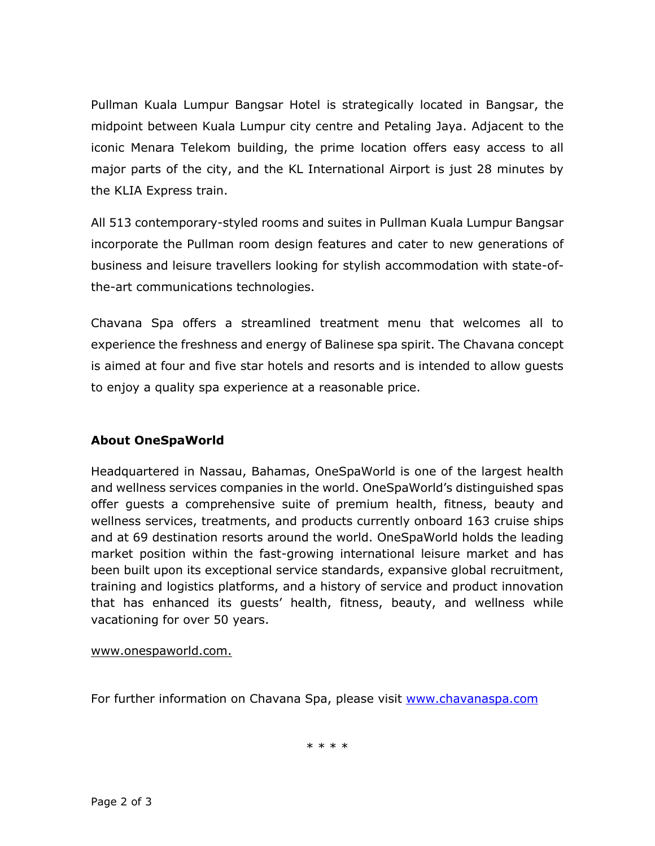Pullman Kuala Lumpur Bangsar Hotel is strategically located in Bangsar, the midpoint between Kuala Lumpur city centre and Petaling Jaya. Adjacent to the iconic Menara Telekom building, the prime location offers easy access to all major parts of the city, and the KL International Airport is just 28 minutes by the KLIA Express train.

All 513 contemporary-styled rooms and suites in Pullman Kuala Lumpur Bangsar incorporate the Pullman room design features and cater to new generations of business and leisure travellers looking for stylish accommodation with state-ofthe-art communications technologies.

Chavana Spa offers a streamlined treatment menu that welcomes all to experience the freshness and energy of Balinese spa spirit. The Chavana concept is aimed at four and five star hotels and resorts and is intended to allow guests to enjoy a quality spa experience at a reasonable price.

## **About OneSpaWorld**

Headquartered in Nassau, Bahamas, OneSpaWorld is one of the largest health and wellness services companies in the world. OneSpaWorld's distinguished spas offer guests a comprehensive suite of premium health, fitness, beauty and wellness services, treatments, and products currently onboard 163 cruise ships and at 69 destination resorts around the world. OneSpaWorld holds the leading market position within the fast-growing international leisure market and has been built upon its exceptional service standards, expansive global recruitment, training and logistics platforms, and a history of service and product innovation that has enhanced its guests' health, fitness, beauty, and wellness while vacationing for over 50 years.

## [www.onespaworld.com.](http://www.onespaworld.com./)

For further information on Chavana Spa, please visit [www.chavanaspa.com](http://www.chavanaspa.com/)

\* \* \* \*